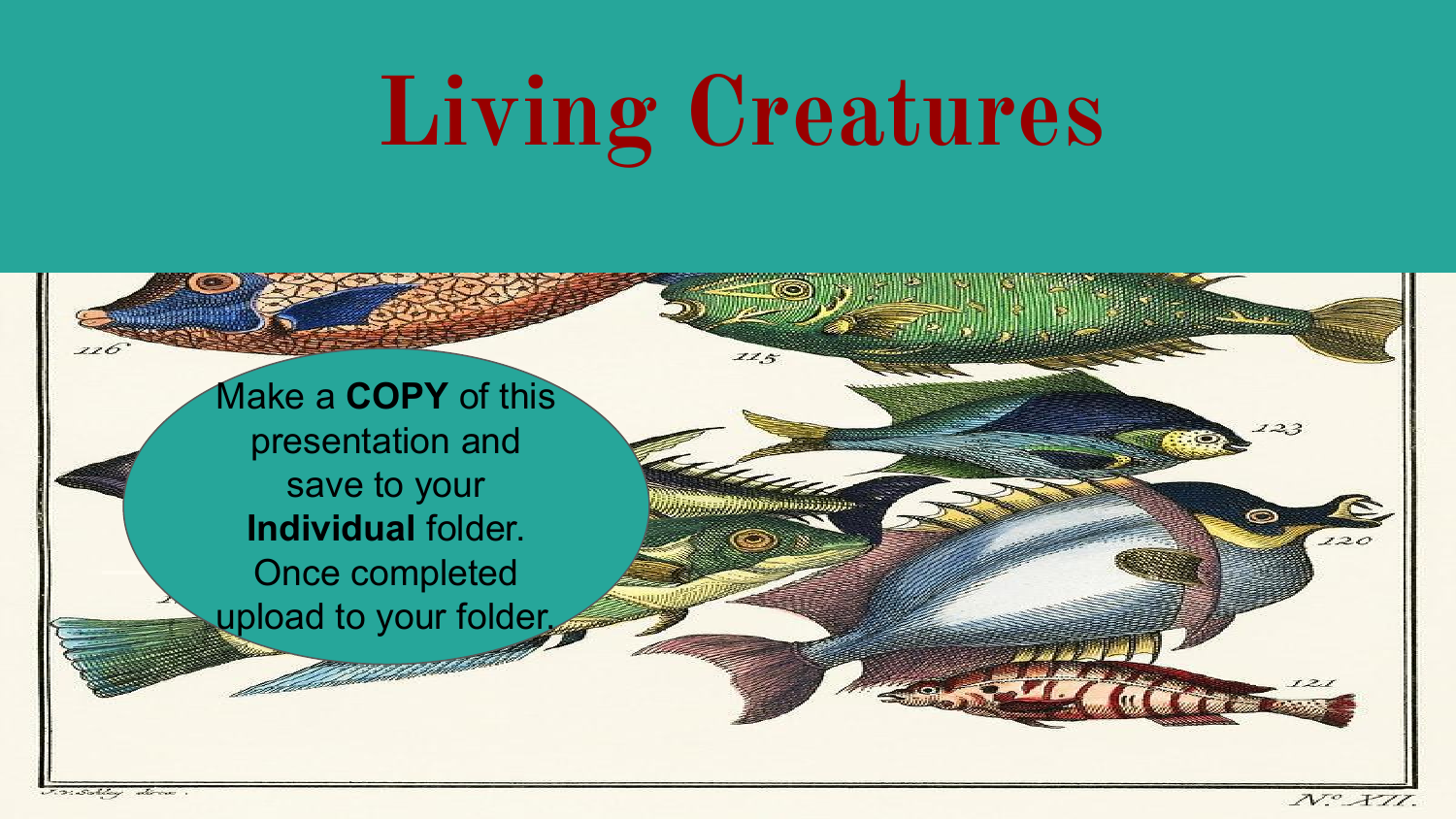# **Living Creatures**

Make a **COPY** of this presentation and save to your **Individual** folder. Once completed upload to your folder.

 $720$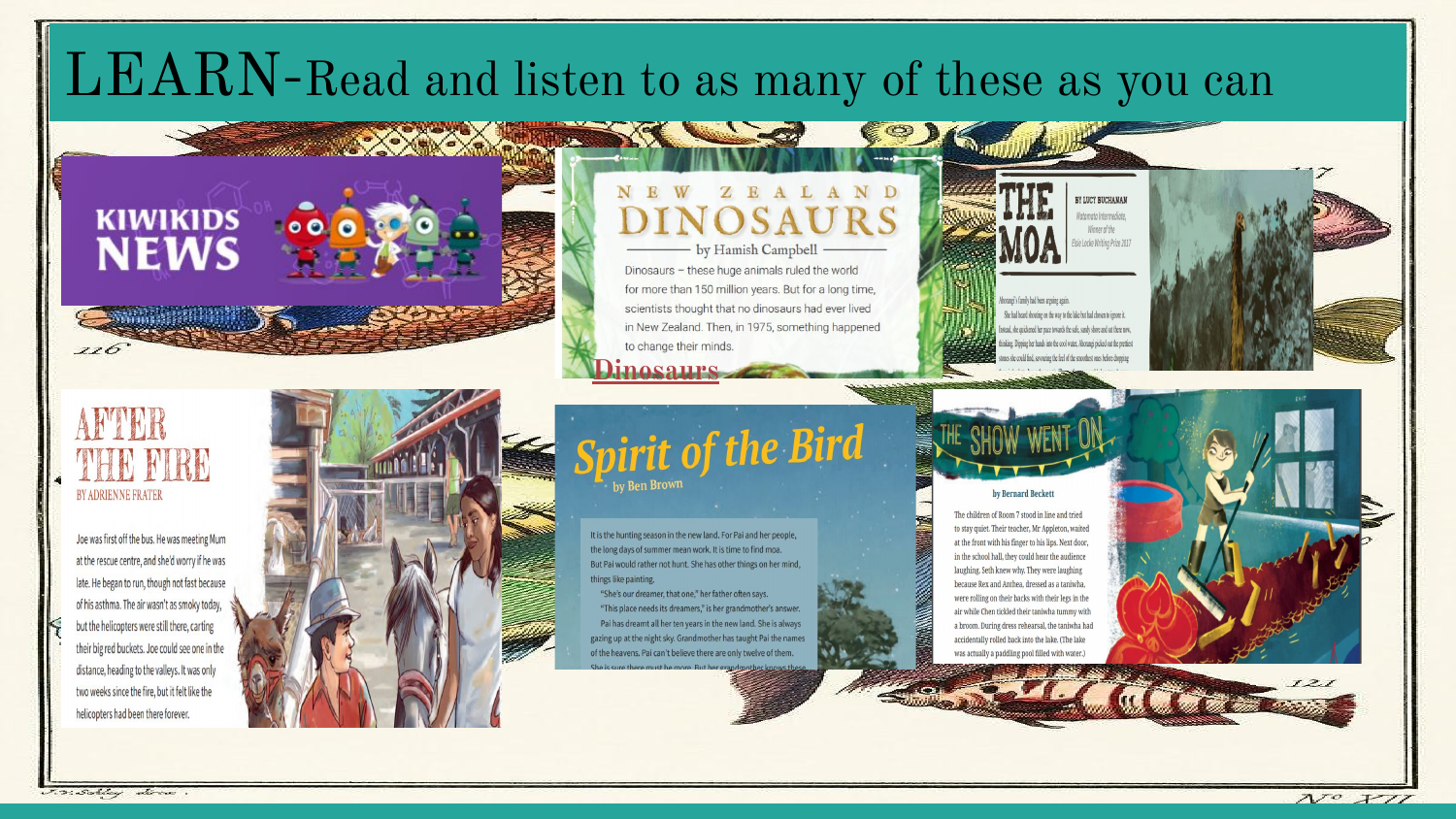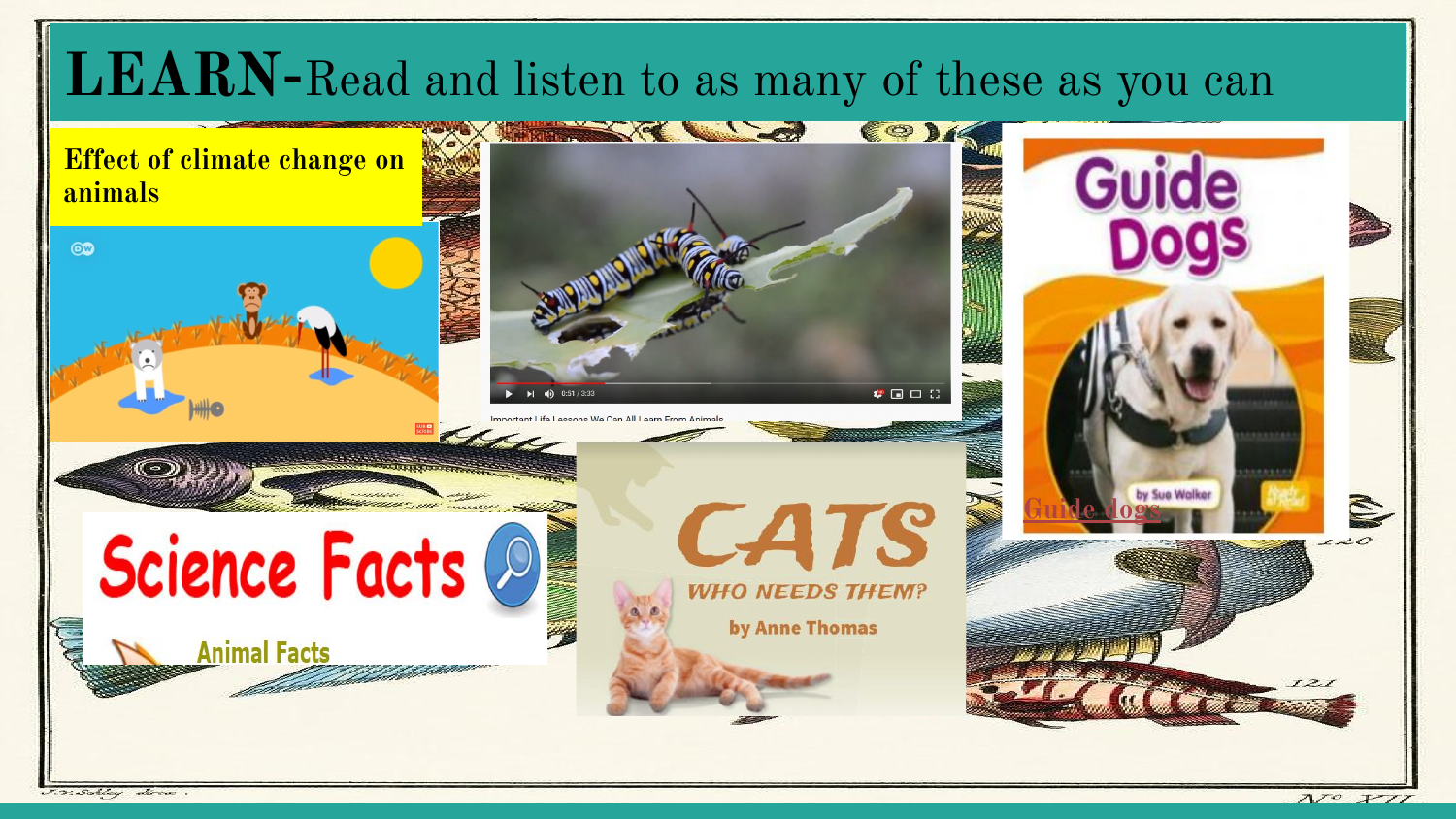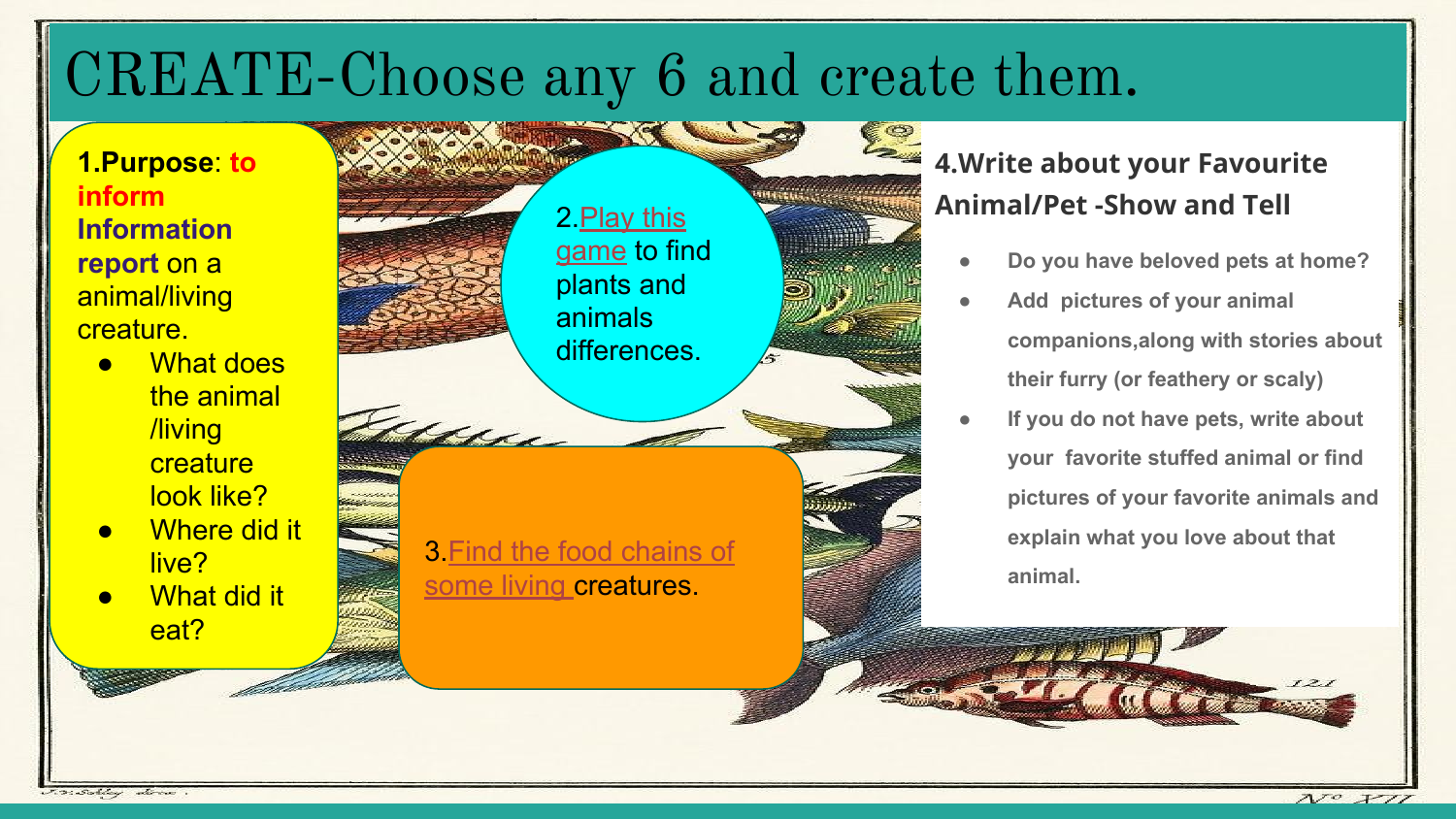## CREATE-Choose any 6 and create them.

#### **1.Purpose**: **to inform Information report** on a animal/living creature.

- **What does** the animal /living **creature** look like?
- **Where did it** live?
- **What did it** eat?



### **4.Write about your Favourite Animal/Pet -Show and Tell**

- **● Do you have beloved pets at home?**
- **● Add pictures of your animal companions,along with stories about their furry (or feathery or scaly)**
- **● If you do not have pets, write about your favorite stuffed animal or find pictures of your favorite animals and explain what you love about that animal.**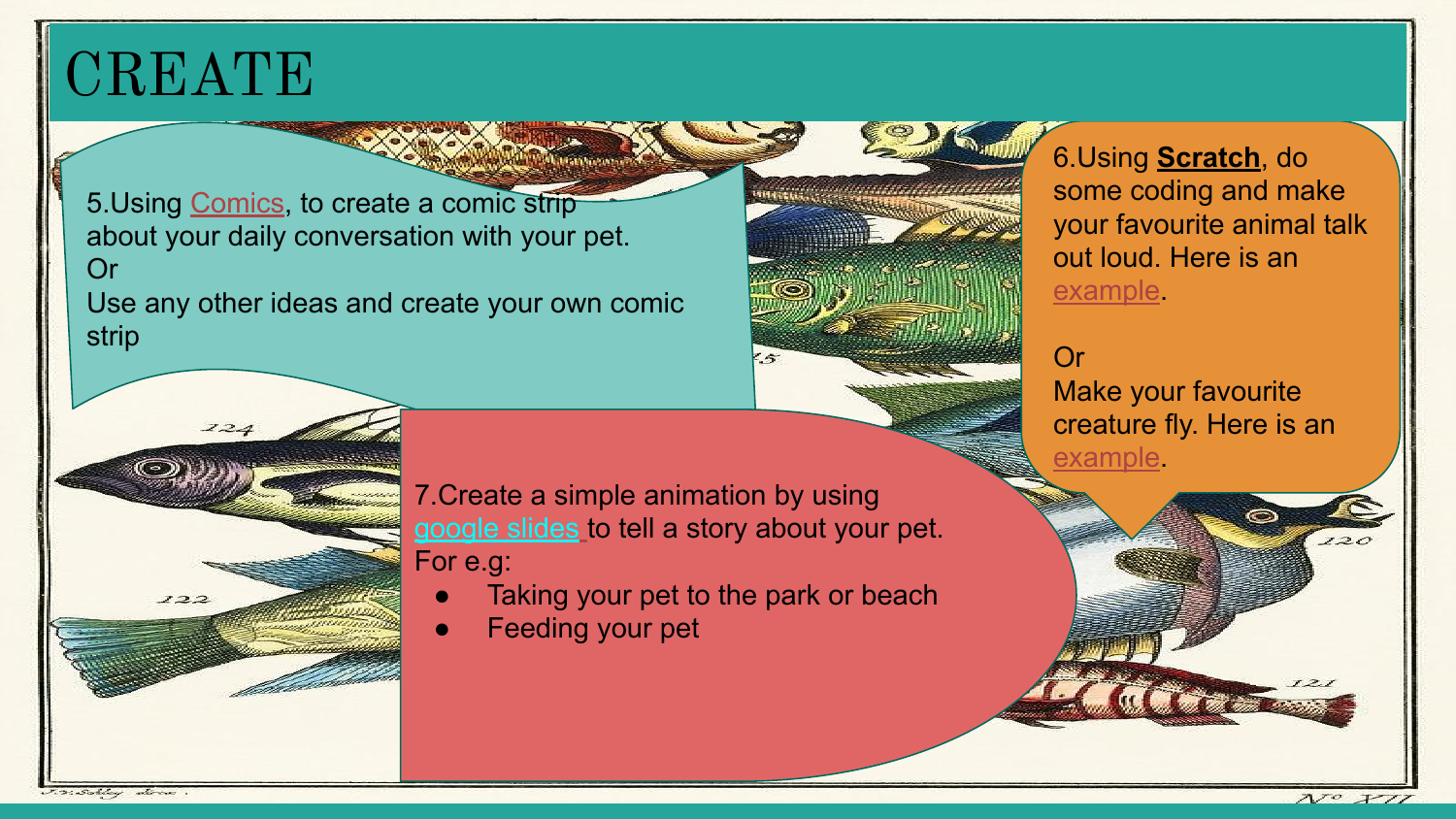### CREATE

5.Using [Comics,](https://www.makebeliefscomix.com/) to create a comic strip about your daily conversation with your pet. Or

Use any other ideas and create your own comic strip



6.Using **Scratch**, do some coding and make your favourite animal talk out loud. Here is an [example.](https://scratch.mit.edu/projects/editor/?tutorial=animate-a-character)

#### Or Make your favourite creature fly. Here is an [example.](https://scratch.mit.edu/projects/380098732/editor)



7.Create a simple animation by using [google slides](https://docs.google.com/presentation/d/1BYNbQamqOww9R5ghZed9x8MpvvkorSWQPvKEL3S3zSE/edit?usp=sharing) to tell a story about your pet. For e.g:

- Taking your pet to the park or beach
- **Feeding your pet**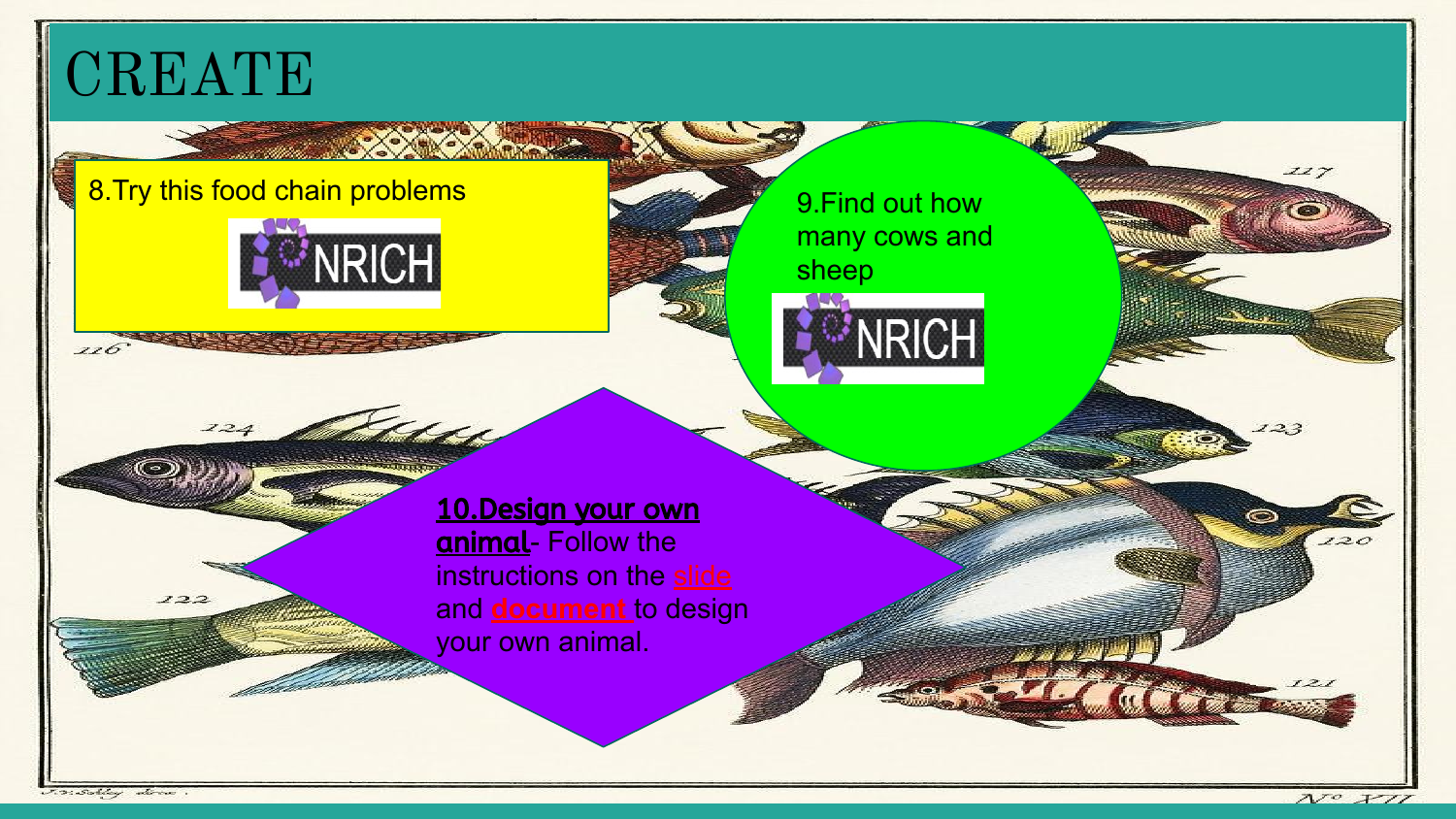# **CREATE**

### 8.Try this food chain problems 9.Find out how



124 Millet

[many cows and](https://nrich.maths.org/7651)  sheep



10.Design your own animal- Follow the instructions on the [slide](https://docs.google.com/presentation/d/168K9SH2P6q7E8Ef2wYstB1qjMmqLV91WELU0ZlRbaFA/edit?usp=sharing) and **[document](https://docs.google.com/document/d/1MQNbvz9OWqwRUvfkvfO_WEIJ30iH9hC-Wy2lE0utDy0/edit?usp=sharing)** to design your own animal.

J.V. Schley direct

 $122$ 

 $116^{2}$ 

 $120$ 

 $II7$ 

 $23$